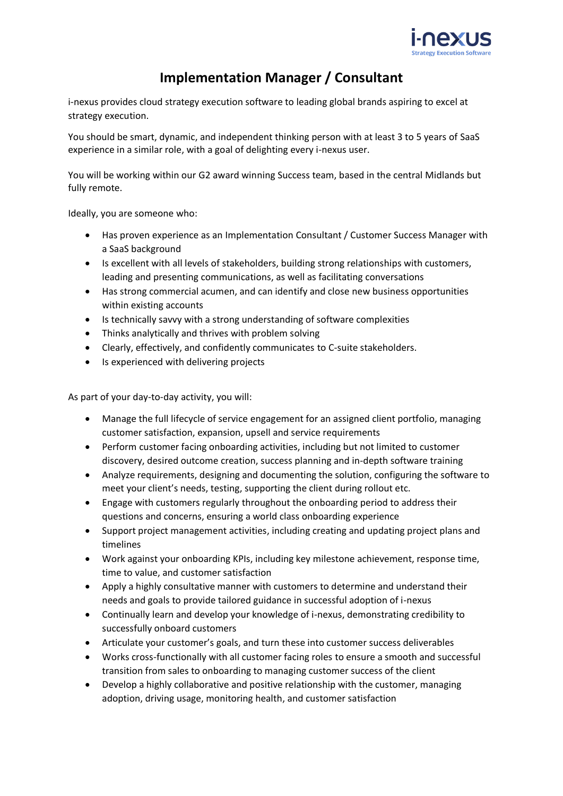

## **Implementation Manager / Consultant**

[i-nexus](http://www.i-nexus.com/) provides cloud strategy execution software to leading global brands aspiring to excel at strategy execution.

You should be smart, dynamic, and independent thinking person with at least 3 to 5 years of SaaS experience in a similar role, with a goal of delighting every i-nexus user.

You will be working within our G2 award winning Success team, based in the central Midlands but fully remote.

Ideally, you are someone who:

- Has proven experience as an Implementation Consultant / Customer Success Manager with a SaaS background
- Is excellent with all levels of stakeholders, building strong relationships with customers, leading and presenting communications, as well as facilitating conversations
- Has strong commercial acumen, and can identify and close new business opportunities within existing accounts
- Is technically savvy with a strong understanding of software complexities
- Thinks analytically and thrives with problem solving
- Clearly, effectively, and confidently communicates to C-suite stakeholders.
- Is experienced with delivering projects

As part of your day-to-day activity, you will:

- Manage the full lifecycle of service engagement for an assigned client portfolio, managing customer satisfaction, expansion, upsell and service requirements
- Perform customer facing onboarding activities, including but not limited to customer discovery, desired outcome creation, success planning and in-depth software training
- Analyze requirements, designing and documenting the solution, configuring the software to meet your client's needs, testing, supporting the client during rollout etc.
- Engage with customers regularly throughout the onboarding period to address their questions and concerns, ensuring a world class onboarding experience
- Support project management activities, including creating and updating project plans and timelines
- Work against your onboarding KPIs, including key milestone achievement, response time, time to value, and customer satisfaction
- Apply a highly consultative manner with customers to determine and understand their needs and goals to provide tailored guidance in successful adoption of i-nexus
- Continually learn and develop your knowledge of i-nexus, demonstrating credibility to successfully onboard customers
- Articulate your customer's goals, and turn these into customer success deliverables
- Works cross-functionally with all customer facing roles to ensure a smooth and successful transition from sales to onboarding to managing customer success of the client
- Develop a highly collaborative and positive relationship with the customer, managing adoption, driving usage, monitoring health, and customer satisfaction